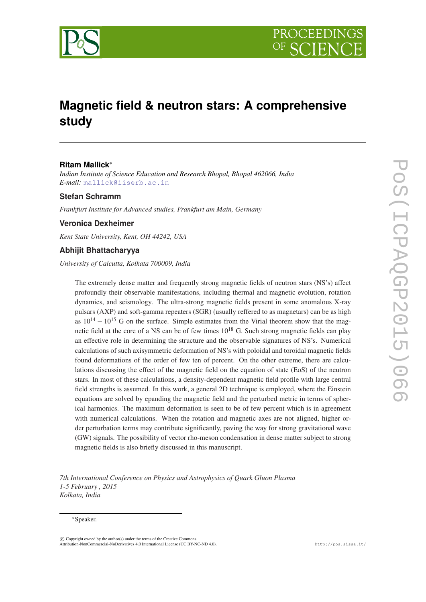

# **Magnetic field & neutron stars: A comprehensive study**

### **Ritam Mallick**<sup>∗</sup>

*Indian Institute of Science Education and Research Bhopal, Bhopal 462066, India E-mail:* [mallick@iiserb.ac.in](mailto:mallick@iiserb.ac.in)

### **Stefan Schramm**

*Frankfurt Institute for Advanced studies, Frankfurt am Main, Germany*

## **Veronica Dexheimer**

*Kent State University, Kent, OH 44242, USA*

### **Abhijit Bhattacharyya**

*University of Calcutta, Kolkata 700009, India*

The extremely dense matter and frequently strong magnetic fields of neutron stars (NS's) affect profoundly their observable manifestations, including thermal and magnetic evolution, rotation dynamics, and seismology. The ultra-strong magnetic fields present in some anomalous X-ray pulsars (AXP) and soft-gamma repeaters (SGR) (usually reffered to as magnetars) can be as high as  $10^{14} - 10^{15}$  G on the surface. Simple estimates from the Virial theorem show that the magnetic field at the core of a NS can be of few times  $10^{18}$  G. Such strong magnetic fields can play an effective role in determining the structure and the observable signatures of NS's. Numerical calculations of such axisymmetric deformation of NS's with poloidal and toroidal magnetic fields found deformations of the order of few ten of percent. On the other extreme, there are calculations discussing the effect of the magnetic field on the equation of state (EoS) of the neutron stars. In most of these calculations, a density-dependent magnetic field profile with large central field strengths is assumed. In this work, a general 2D technique is employed, where the Einstein equations are solved by epanding the magnetic field and the perturbed metric in terms of spherical harmonics. The maximum deformation is seen to be of few percent which is in agreement with numerical calculations. When the rotation and magnetic axes are not aligned, higher order perturbation terms may contribute significantly, paving the way for strong gravitational wave (GW) signals. The possibility of vector rho-meson condensation in dense matter subject to strong magnetic fields is also briefly discussed in this manuscript.

*7th International Conference on Physics and Astrophysics of Quark Gluon Plasma 1-5 February , 2015 Kolkata, India*

#### <sup>∗</sup>Speaker.

 $(C)$  Copyright owned by the author(s) under the terms of the Creative Common Attribution-NonCommercial-NoDerivatives 4.0 International License (CC BY-NC-ND 4.0). http://pos.sissa.it/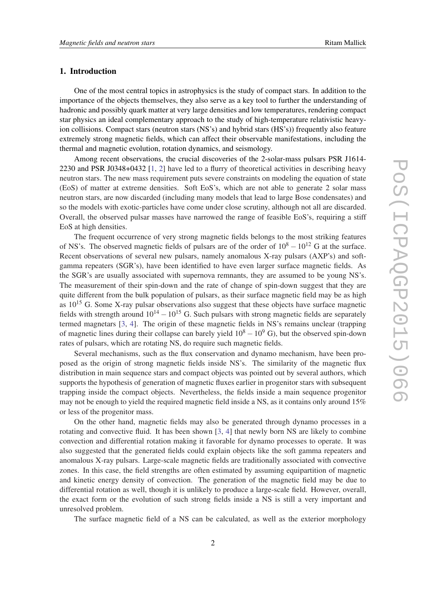#### 1. Introduction

One of the most central topics in astrophysics is the study of compact stars. In addition to the importance of the objects themselves, they also serve as a key tool to further the understanding of hadronic and possibly quark matter at very large densities and low temperatures, rendering compact star physics an ideal complementary approach to the study of high-temperature relativistic heavyion collisions. Compact stars (neutron stars (NS's) and hybrid stars (HS's)) frequently also feature extremely strong magnetic fields, which can affect their observable manifestations, including the thermal and magnetic evolution, rotation dynamics, and seismology.

Among recent observations, the crucial discoveries of the 2-solar-mass pulsars PSR J1614- 2230 and PSR J0348+0432 [[1](#page-9-0), [2\]](#page-9-0) have led to a flurry of theoretical activities in describing heavy neutron stars. The new mass requirement puts severe constraints on modeling the equation of state (EoS) of matter at extreme densities. Soft EoS's, which are not able to generate 2 solar mass neutron stars, are now discarded (including many models that lead to large Bose condensates) and so the models with exotic-particles have come under close scrutiny, although not all are discarded. Overall, the observed pulsar masses have narrowed the range of feasible EoS's, requiring a stiff EoS at high densities.

The frequent occurrence of very strong magnetic fields belongs to the most striking features of NS's. The observed magnetic fields of pulsars are of the order of  $10^8 - 10^{12}$  G at the surface. Recent observations of several new pulsars, namely anomalous X-ray pulsars (AXP's) and softgamma repeaters (SGR's), have been identified to have even larger surface magnetic fields. As the SGR's are usually associated with supernova remnants, they are assumed to be young NS's. The measurement of their spin-down and the rate of change of spin-down suggest that they are quite different from the bulk population of pulsars, as their surface magnetic field may be as high as  $10^{15}$  G. Some X-ray pulsar observations also suggest that these objects have surface magnetic fields with strength around  $10^{14} - 10^{15}$  G. Such pulsars with strong magnetic fields are separately termed magnetars [[3](#page-9-0), [4](#page-9-0)]. The origin of these magnetic fields in NS's remains unclear (trapping of magnetic lines during their collapse can barely yield  $10^8 - 10^9$  G), but the observed spin-down rates of pulsars, which are rotating NS, do require such magnetic fields.

Several mechanisms, such as the flux conservation and dynamo mechanism, have been proposed as the origin of strong magnetic fields inside NS's. The similarity of the magnetic flux distribution in main sequence stars and compact objects was pointed out by several authors, which supports the hypothesis of generation of magnetic fluxes earlier in progenitor stars with subsequent trapping inside the compact objects. Nevertheless, the fields inside a main sequence progenitor may not be enough to yield the required magnetic field inside a NS, as it contains only around 15% or less of the progenitor mass.

On the other hand, magnetic fields may also be generated through dynamo processes in a rotating and convective fluid. It has been shown [\[3](#page-9-0), [4\]](#page-9-0) that newly born NS are likely to combine convection and differential rotation making it favorable for dynamo processes to operate. It was also suggested that the generated fields could explain objects like the soft gamma repeaters and anomalous X-ray pulsars. Large-scale magnetic fields are traditionally associated with convective zones. In this case, the field strengths are often estimated by assuming equipartition of magnetic and kinetic energy density of convection. The generation of the magnetic field may be due to differential rotation as well, though it is unlikely to produce a large-scale field. However, overall, the exact form or the evolution of such strong fields inside a NS is still a very important and unresolved problem.

The surface magnetic field of a NS can be calculated, as well as the exterior morphology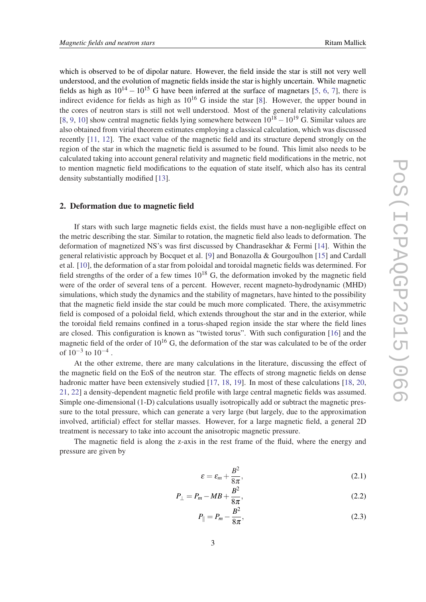which is observed to be of dipolar nature. However, the field inside the star is still not very well understood, and the evolution of magnetic fields inside the star is highly uncertain. While magnetic fields as high as  $10^{14} - 10^{15}$  $10^{14} - 10^{15}$  $10^{14} - 10^{15}$  G have been inferred at the surface of magnetars [5, [6](#page-9-0), [7\]](#page-9-0), there is indirect evidence for fields as high as  $10^{16}$  G inside the star [[8](#page-9-0)]. However, the upper bound in the cores of neutron stars is still not well understood. Most of the general relativity calculations [[8](#page-9-0), [9](#page-9-0), [10](#page-9-0)] show central magnetic fields lying somewhere between  $10^{18} - 10^{19}$  G. Similar values are also obtained from virial theorem estimates employing a classical calculation, which was discussed recently [[11,](#page-9-0) [12\]](#page-9-0). The exact value of the magnetic field and its structure depend strongly on the region of the star in which the magnetic field is assumed to be found. This limit also needs to be calculated taking into account general relativity and magnetic field modifications in the metric, not to mention magnetic field modifications to the equation of state itself, which also has its central density substantially modified [[13\]](#page-9-0).

#### 2. Deformation due to magnetic field

If stars with such large magnetic fields exist, the fields must have a non-negligible effect on the metric describing the star. Similar to rotation, the magnetic field also leads to deformation. The deformation of magnetized NS's was first discussed by Chandrasekhar & Fermi [\[14](#page-9-0)]. Within the general relativistic approach by Bocquet et al. [[9](#page-9-0)] and Bonazolla & Gourgoulhon [[15\]](#page-9-0) and Cardall et al. [\[10\]](#page-9-0), the deformation of a star from poloidal and toroidal magnetic fields was determined. For field strengths of the order of a few times  $10^{18}$  G, the deformation invoked by the magnetic field were of the order of several tens of a percent. However, recent magneto-hydrodynamic (MHD) simulations, which study the dynamics and the stability of magnetars, have hinted to the possibility that the magnetic field inside the star could be much more complicated. There, the axisymmetric field is composed of a poloidal field, which extends throughout the star and in the exterior, while the toroidal field remains confined in a torus-shaped region inside the star where the field lines are closed. This configuration is known as "twisted torus". With such configuration [[16\]](#page-10-0) and the magnetic field of the order of  $10^{16}$  G, the deformation of the star was calculated to be of the order of  $10^{-3}$  to  $10^{-4}$ .

At the other extreme, there are many calculations in the literature, discussing the effect of the magnetic field on the EoS of the neutron star. The effects of strong magnetic fields on dense hadronic matter have been extensively studied [\[17](#page-10-0), [18,](#page-10-0) [19\]](#page-10-0). In most of these calculations [[18](#page-10-0), [20](#page-10-0), [21](#page-10-0), [22\]](#page-10-0) a density-dependent magnetic field profile with large central magnetic fields was assumed. Simple one-dimensional (1-D) calculations usually isotropically add or subtract the magnetic pressure to the total pressure, which can generate a very large (but largely, due to the approximation involved, artificial) effect for stellar masses. However, for a large magnetic field, a general 2D treatment is necessary to take into account the anisotropic magnetic pressure.

The magnetic field is along the z-axis in the rest frame of the fluid, where the energy and pressure are given by

$$
\varepsilon = \varepsilon_m + \frac{B^2}{8\pi},\tag{2.1}
$$

$$
P_{\perp} = P_m - MB + \frac{B^2}{8\pi},\tag{2.2}
$$

$$
P_{\parallel} = P_m - \frac{B^2}{8\pi},
$$
\n(2.3)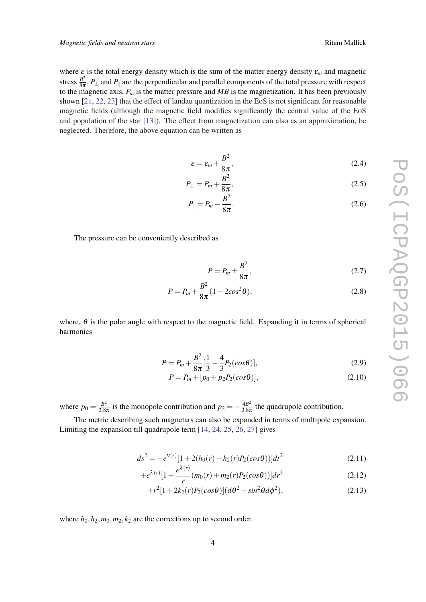where  $\varepsilon$  is the total energy density which is the sum of the matter energy density  $\varepsilon_m$  and magnetic stress  $\frac{B^2}{8\pi}$  $\frac{B^2}{8\pi}$ ,  $P_{\perp}$  and  $P_{\parallel}$  are the perpendicular and parallel components of the total pressure with respect to the magnetic axis, *P<sup>m</sup>* is the matter pressure and *MB* is the magnetization. It has been previously shown [[21,](#page-10-0) [22,](#page-10-0) [23\]](#page-10-0) that the effect of landau quantization in the EoS is not significant for reasonable magnetic fields (although the magnetic field modifies significantly the central value of the EoS and population of the star [[13\]](#page-9-0)). The effect from magnetization can also as an approximation, be neglected. Therefore, the above equation can be written as

$$
\varepsilon = \varepsilon_m + \frac{B^2}{8\pi},\tag{2.4}
$$

$$
P_{\perp} = P_m + \frac{B^2}{8\pi},\tag{2.5}
$$

$$
P_{\parallel} = P_m - \frac{B^2}{8\pi}.
$$
 (2.6)

The pressure can be conveniently described as

$$
P = P_m \pm \frac{B^2}{8\pi},\tag{2.7}
$$

$$
P = P_m + \frac{B^2}{8\pi} (1 - 2\cos^2 \theta),
$$
\n(2.8)

where,  $\theta$  is the polar angle with respect to the magnetic field. Expanding it in terms of spherical harmonics

$$
P = P_m + \frac{B^2}{8\pi} \left[ \frac{1}{3} - \frac{4}{3} P_2(\cos \theta) \right],\tag{2.9}
$$

$$
P = P_m + [p_0 + p_2 P_2(cos\theta)],
$$
\n(2.10)

where  $p_0 = \frac{B^2}{3.8}$  $\frac{B^2}{3.8\pi}$  is the monopole contribution and  $p_2 = -\frac{4B^2}{3.8\pi}$  $rac{4B^2}{3.8\pi}$  the quadrupole contribution.

The metric describing such magnetars can also be expanded in terms of multipole expansion. Limiting the expansion till quadrupole term [\[14](#page-9-0), [24](#page-10-0), [25,](#page-10-0) [26](#page-10-0), [27](#page-10-0)] gives

$$
ds^{2} = -e^{v(r)}[1+2(h_{0}(r)+h_{2}(r)P_{2}(cos\theta))]dt^{2}
$$
\n(2.11)

$$
+e^{\lambda(r)}[1+\frac{e^{\lambda(r)}}{r}(m_0(r)+m_2(r)P_2(cos\theta))]dr^2
$$
\n(2.12)

$$
+r^2[1+2k_2(r)P_2(cos\theta)](d\theta^2+sin^2\theta d\phi^2),
$$
\t(2.13)

where  $h_0, h_2, m_0, m_2, k_2$  are the corrections up to second order.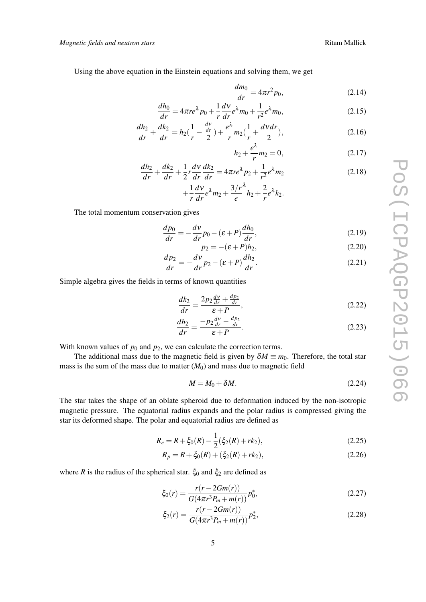Using the above equation in the Einstein equations and solving them, we get

$$
\frac{dm_0}{dr} = 4\pi r^2 p_0,\tag{2.14}
$$

$$
\frac{dh_0}{dr} = 4\pi r e^{\lambda} p_0 + \frac{1}{r} \frac{dV}{dr} e^{\lambda} m_0 + \frac{1}{r^2} e^{\lambda} m_0,
$$
\n(2.15)

$$
\frac{dh_2}{dr} + \frac{dk_2}{dr} = h_2(\frac{1}{r} - \frac{\frac{d\mathbf{v}}{dr}}{2}) + \frac{e^{\lambda}}{r}m_2(\frac{1}{r} + \frac{d\mathbf{v}dr}{2}),\tag{2.16}
$$

$$
h_2 + \frac{e^{\lambda}}{r} m_2 = 0, \tag{2.17}
$$

$$
\frac{dh_2}{dr} + \frac{dk_2}{dr} + \frac{1}{2}r\frac{dv}{dr}\frac{dk_2}{dr} = 4\pi r e^{\lambda} p_2 + \frac{1}{r^2} e^{\lambda} m_2
$$
\n(2.18)

$$
+\frac{1}{r}\frac{dv}{dr}e^{\lambda}m_2+\frac{3/r^{\lambda}}{e}h_2+\frac{2}{r}e^{\lambda}k_2.
$$

The total momentum conservation gives

$$
\frac{dp_0}{dr} = -\frac{dv}{dr}p_0 - (\varepsilon + P)\frac{dh_0}{dr},\tag{2.19}
$$

$$
p_2 = -(\varepsilon + P)h_2,\tag{2.20}
$$

$$
\frac{dp_2}{dr} = -\frac{dv}{dr}p_2 - (\varepsilon + P)\frac{dh_2}{dr}.\tag{2.21}
$$

Simple algebra gives the fields in terms of known quantities

$$
\frac{dk_2}{dr} = \frac{2p_2\frac{dv}{dr} + \frac{dp_2}{dr}}{\varepsilon + P},\tag{2.22}
$$

$$
\frac{dh_2}{dr} = \frac{-p_2\frac{d\mathbf{v}}{dr} - \frac{dp_2}{dr}}{\varepsilon + P}.
$$
\n(2.23)

With known values of  $p_0$  and  $p_2$ , we can calculate the correction terms.

The additional mass due to the magnetic field is given by  $\delta M \equiv m_0$ . Therefore, the total star mass is the sum of the mass due to matter  $(M<sub>0</sub>)$  and mass due to magnetic field

$$
M = M_0 + \delta M. \tag{2.24}
$$

The star takes the shape of an oblate spheroid due to deformation induced by the non-isotropic magnetic pressure. The equatorial radius expands and the polar radius is compressed giving the star its deformed shape. The polar and equatorial radius are defined as

$$
R_e = R + \xi_0(R) - \frac{1}{2}(\xi_2(R) + rk_2),\tag{2.25}
$$

$$
R_p = R + \xi_0(R) + (\xi_2(R) + rk_2),\tag{2.26}
$$

where *R* is the radius of the spherical star.  $\xi_0$  and  $\xi_2$  are defined as

$$
\xi_0(r) = \frac{r(r - 2Gm(r))}{G(4\pi r^3 P_m + m(r))} p_0^*,\tag{2.27}
$$

$$
\xi_2(r) = \frac{r(r - 2Gm(r))}{G(4\pi r^3 P_m + m(r))} p_2^*,\tag{2.28}
$$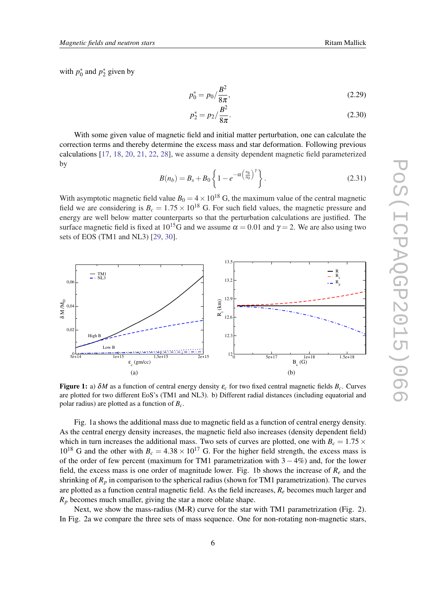with  $p_0^*$  and  $p_2^*$  given by

$$
p_0^* = p_0 / \frac{B^2}{8\pi},\tag{2.29}
$$

$$
p_2^* = p_2 / \frac{B^2}{8\pi}.\tag{2.30}
$$

With some given value of magnetic field and initial matter perturbation, one can calculate the correction terms and thereby determine the excess mass and star deformation. Following previous calculations [[17,](#page-10-0) [18](#page-10-0), [20,](#page-10-0) [21](#page-10-0), [22,](#page-10-0) [28](#page-10-0)], we assume a density dependent magnetic field parameterized by

$$
B(n_b) = B_s + B_0 \left\{ 1 - e^{-\alpha \left(\frac{n_b}{n_0}\right)^{\gamma}} \right\}.
$$
 (2.31)

With asymptotic magnetic field value  $B_0 = 4 \times 10^{18}$  G, the maximum value of the central magnetic field we are considering is  $B_c = 1.75 \times 10^{18}$  G. For such field values, the magnetic pressure and energy are well below matter counterparts so that the perturbation calculations are justified. The surface magnetic field is fixed at  $10^{15}$ G and we assume  $\alpha = 0.01$  and  $\gamma = 2$ . We are also using two sets of EOS (TM1 and NL3) [\[29](#page-10-0), [30](#page-10-0)].



**Figure 1:** a)  $\delta M$  as a function of central energy density  $\varepsilon_c$  for two fixed central magnetic fields  $B_c$ . Curves are plotted for two different EoS's (TM1 and NL3). b) Different radial distances (including equatorial and polar radius) are plotted as a function of *Bc*.

Fig. 1a shows the additional mass due to magnetic field as a function of central energy density. As the central energy density increases, the magnetic field also increases (density dependent field) which in turn increases the additional mass. Two sets of curves are plotted, one with  $B_c = 1.75 \times$  $10^{18}$  G and the other with  $B_c = 4.38 \times 10^{17}$  G. For the higher field strength, the excess mass is of the order of few percent (maximum for TM1 parametrization with  $3 - 4\%$ ) and, for the lower field, the excess mass is one order of magnitude lower. Fig. 1b shows the increase of  $R_e$  and the shrinking of  $R_p$  in comparison to the spherical radius (shown for TM1 parametrization). The curves are plotted as a function central magnetic field. As the field increases, *R<sup>e</sup>* becomes much larger and *R<sup>p</sup>* becomes much smaller, giving the star a more oblate shape.

Next, we show the mass-radius (M-R) curve for the star with TM1 parametrization (Fig. 2). In Fig. 2a we compare the three sets of mass sequence. One for non-rotating non-magnetic stars,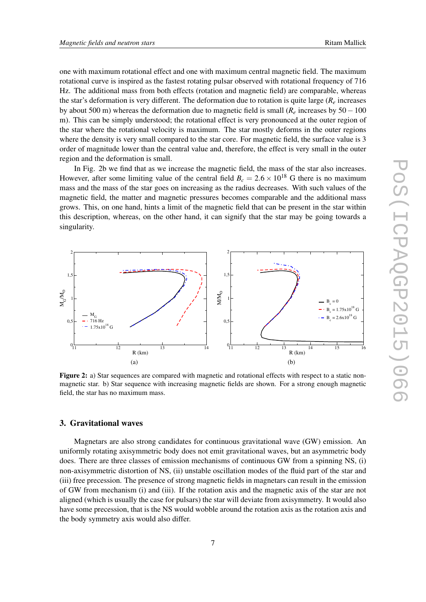one with maximum rotational effect and one with maximum central magnetic field. The maximum rotational curve is inspired as the fastest rotating pulsar observed with rotational frequency of 716 Hz. The additional mass from both effects (rotation and magnetic field) are comparable, whereas the star's deformation is very different. The deformation due to rotation is quite large (*R<sup>e</sup>* increases by about 500 m) whereas the deformation due to magnetic field is small (*R<sup>e</sup>* increases by 50−100 m). This can be simply understood; the rotational effect is very pronounced at the outer region of the star where the rotational velocity is maximum. The star mostly deforms in the outer regions where the density is very small compared to the star core. For magnetic field, the surface value is 3 order of magnitude lower than the central value and, therefore, the effect is very small in the outer region and the deformation is small.

In Fig. 2b we find that as we increase the magnetic field, the mass of the star also increases. However, after some limiting value of the central field  $B<sub>c</sub> = 2.6 \times 10^{18}$  G there is no maximum mass and the mass of the star goes on increasing as the radius decreases. With such values of the magnetic field, the matter and magnetic pressures becomes comparable and the additional mass grows. This, on one hand, hints a limit of the magnetic field that can be present in the star within this description, whereas, on the other hand, it can signify that the star may be going towards a singularity.



Figure 2: a) Star sequences are compared with magnetic and rotational effects with respect to a static nonmagnetic star. b) Star sequence with increasing magnetic fields are shown. For a strong enough magnetic field, the star has no maximum mass.

#### 3. Gravitational waves

Magnetars are also strong candidates for continuous gravitational wave (GW) emission. An uniformly rotating axisymmetric body does not emit gravitational waves, but an asymmetric body does. There are three classes of emission mechanisms of continuous GW from a spinning NS, (i) non-axisymmetric distortion of NS, (ii) unstable oscillation modes of the fluid part of the star and (iii) free precession. The presence of strong magnetic fields in magnetars can result in the emission of GW from mechanism (i) and (iii). If the rotation axis and the magnetic axis of the star are not aligned (which is usually the case for pulsars) the star will deviate from axisymmetry. It would also have some precession, that is the NS would wobble around the rotation axis as the rotation axis and the body symmetry axis would also differ.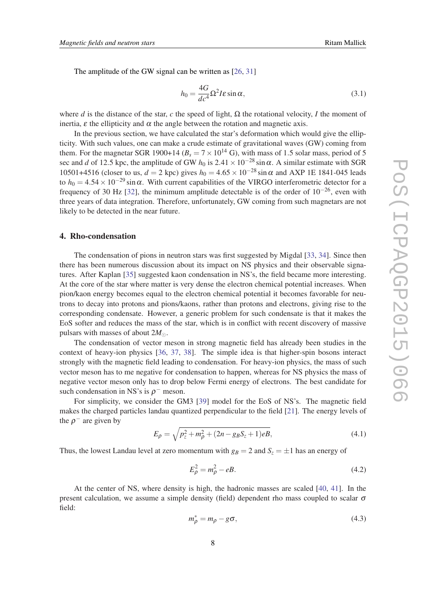The amplitude of the GW signal can be written as [\[26](#page-10-0), [31\]](#page-10-0)

$$
h_0 = \frac{4G}{dc^4} \Omega^2 I \varepsilon \sin \alpha, \tag{3.1}
$$

where *d* is the distance of the star, *c* the speed of light,  $\Omega$  the rotational velocity, *I* the moment of inertia,  $\varepsilon$  the ellipticity and  $\alpha$  the angle between the rotation and magnetic axis.

In the previous section, we have calculated the star's deformation which would give the ellipticity. With such values, one can make a crude estimate of gravitational waves (GW) coming from them. For the magnetar SGR 1900+14 ( $B_s = 7 \times 10^{14}$  G), with mass of 1.5 solar mass, period of 5 sec and *d* of 12.5 kpc, the amplitude of GW *h*<sub>0</sub> is 2.41 × 10<sup>-28</sup> sin $\alpha$ . A similar estimate with SGR 10501+4516 (closer to us, *d* = 2 kpc) gives  $h_0 = 4.65 \times 10^{-28} \sin \alpha$  and AXP 1E 1841-045 leads to  $h_0 = 4.54 \times 10^{-29} \sin \alpha$ . With current capabilities of the VIRGO interferometric detector for a frequency of 30 Hz [[32](#page-10-0)], the minimum amplitude detectable is of the order of  $10^{-26}$ , even with three years of data integration. Therefore, unfortunately, GW coming from such magnetars are not likely to be detected in the near future.

#### 4. Rho-condensation

The condensation of pions in neutron stars was first suggested by Migdal [[33,](#page-10-0) [34](#page-10-0)]. Since then there has been numerous discussion about its impact on NS physics and their observable signatures. After Kaplan [[35\]](#page-10-0) suggested kaon condensation in NS's, the field became more interesting. At the core of the star where matter is very dense the electron chemical potential increases. When pion/kaon energy becomes equal to the electron chemical potential it becomes favorable for neutrons to decay into protons and pions/kaons, rather than protons and electrons, giving rise to the corresponding condensate. However, a generic problem for such condensate is that it makes the EoS softer and reduces the mass of the star, which is in conflict with recent discovery of massive pulsars with masses of about  $2M_{\odot}$ .

The condensation of vector meson in strong magnetic field has already been studies in the context of heavy-ion physics [\[36,](#page-10-0) [37,](#page-10-0) [38\]](#page-10-0). The simple idea is that higher-spin bosons interact strongly with the magnetic field leading to condensation. For heavy-ion physics, the mass of such vector meson has to me negative for condensation to happen, whereas for NS physics the mass of negative vector meson only has to drop below Fermi energy of electrons. The best candidate for such condensation in NS's is  $\rho$ <sup>-</sup> meson.

For simplicity, we consider the GM3 [[39\]](#page-10-0) model for the EoS of NS's. The magnetic field makes the charged particles landau quantized perpendicular to the field [\[21](#page-10-0)]. The energy levels of the  $\rho^-$  are given by

$$
E_{\rho} = \sqrt{p_z^2 + m_{\rho}^2 + (2n - g_B S_z + 1)eB},
$$
\n(4.1)

Thus, the lowest Landau level at zero momentum with  $g_B = 2$  and  $S_z = \pm 1$  has an energy of

$$
E_{\rho}^2 = m_{\rho}^2 - eB. \tag{4.2}
$$

At the center of NS, where density is high, the hadronic masses are scaled [\[40](#page-10-0), [41](#page-10-0)]. In the present calculation, we assume a simple density (field) dependent rho mass coupled to scalar  $\sigma$ field:

$$
m_{\rho}^* = m_{\rho} - g\sigma,\tag{4.3}
$$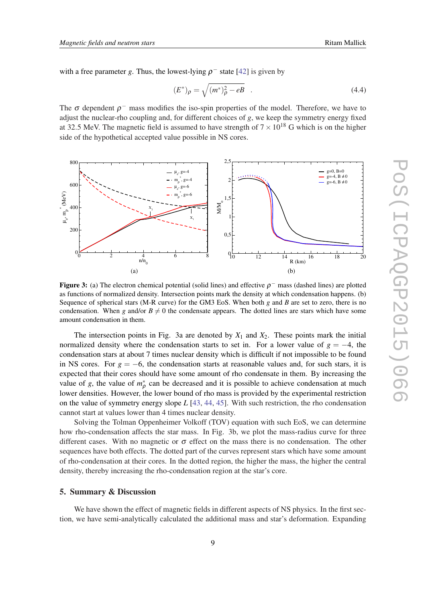with a free parameter *g*. Thus, the lowest-lying  $\rho^-$  state [[42\]](#page-10-0) is given by

$$
(E^*)_{\rho} = \sqrt{(m^*)_{\rho}^2 - eB} \quad . \tag{4.4}
$$

The  $\sigma$  dependent  $\rho^-$  mass modifies the iso-spin properties of the model. Therefore, we have to adjust the nuclear-rho coupling and, for different choices of *g*, we keep the symmetry energy fixed at 32.5 MeV. The magnetic field is assumed to have strength of  $7 \times 10^{18}$  G which is on the higher side of the hypothetical accepted value possible in NS cores.



Figure 3: (a) The electron chemical potential (solid lines) and effective  $\rho^-$  mass (dashed lines) are plotted as functions of normalized density. Intersection points mark the density at which condensation happens. (b) Sequence of spherical stars (M-R curve) for the GM3 EoS. When both *g* and *B* are set to zero, there is no condensation. When *g* and/or  $B \neq 0$  the condensate appears. The dotted lines are stars which have some amount condensation in them.

The intersection points in Fig. 3a are denoted by  $X_1$  and  $X_2$ . These points mark the initial normalized density where the condensation starts to set in. For a lower value of  $g = -4$ , the condensation stars at about 7 times nuclear density which is difficult if not impossible to be found in NS cores. For  $g = -6$ , the condensation starts at reasonable values and, for such stars, it is expected that their cores should have some amount of rho condensate in them. By increasing the value of *g*, the value of  $m_p^*$  can be decreased and it is possible to achieve condensation at much lower densities. However, the lower bound of rho mass is provided by the experimental restriction on the value of symmetry energy slope *L* [\[43](#page-10-0), [44,](#page-10-0) [45](#page-10-0)]. With such restriction, the rho condensation cannot start at values lower than 4 times nuclear density.

Solving the Tolman Oppenheimer Volkoff (TOV) equation with such EoS, we can determine how rho-condensation affects the star mass. In Fig. 3b, we plot the mass-radius curve for three different cases. With no magnetic or  $\sigma$  effect on the mass there is no condensation. The other sequences have both effects. The dotted part of the curves represent stars which have some amount of rho-condensation at their cores. In the dotted region, the higher the mass, the higher the central density, thereby increasing the rho-condensation region at the star's core.

#### 5. Summary & Discussion

We have shown the effect of magnetic fields in different aspects of NS physics. In the first section, we have semi-analytically calculated the additional mass and star's deformation. Expanding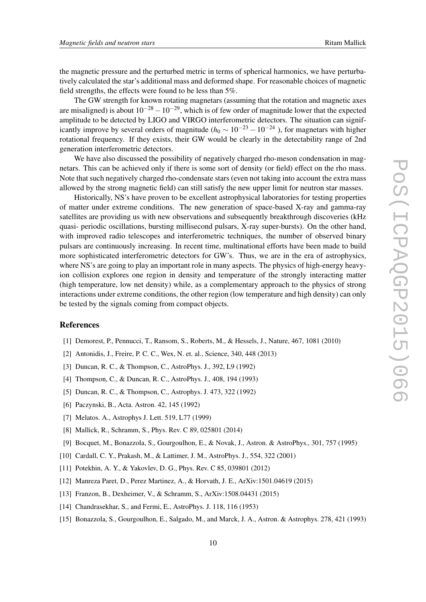<span id="page-9-0"></span>the magnetic pressure and the perturbed metric in terms of spherical harmonics, we have perturbatively calculated the star's additional mass and deformed shape. For reasonable choices of magnetic field strengths, the effects were found to be less than 5%.

The GW strength for known rotating magnetars (assuming that the rotation and magnetic axes are misaligned) is about  $10^{-28} - 10^{-29}$ , which is of few order of magnitude lower that the expected amplitude to be detected by LIGO and VIRGO interferometric detectors. The situation can significantly improve by several orders of magnitude ( $h_0 \sim 10^{-23} - 10^{-24}$ ), for magnetars with higher rotational frequency. If they exists, their GW would be clearly in the detectability range of 2nd generation interferometric detectors.

We have also discussed the possibility of negatively charged rho-meson condensation in magnetars. This can be achieved only if there is some sort of density (or field) effect on the rho mass. Note that such negatively charged rho-condensate stars (even not taking into account the extra mass allowed by the strong magnetic field) can still satisfy the new upper limit for neutron star masses.

Historically, NS's have proven to be excellent astrophysical laboratories for testing properties of matter under extreme conditions. The new generation of space-based X-ray and gamma-ray satellites are providing us with new observations and subsequently breakthrough discoveries (kHz quasi- periodic oscillations, bursting millisecond pulsars, X-ray super-bursts). On the other hand, with improved radio telescopes and interferometric techniques, the number of observed binary pulsars are continuously increasing. In recent time, multinational efforts have been made to build more sophisticated interferometric detectors for GW's. Thus, we are in the era of astrophysics, where NS's are going to play an important role in many aspects. The physics of high-energy heavyion collision explores one region in density and temperature of the strongly interacting matter (high temperature, low net density) while, as a complementary approach to the physics of strong interactions under extreme conditions, the other region (low temperature and high density) can only be tested by the signals coming from compact objects.

#### References

- [1] Demorest, P., Pennucci, T., Ransom, S., Roberts, M., & Hessels, J., Nature, 467, 1081 (2010)
- [2] Antonidis, J., Freire, P. C. C., Wex, N. et. al., Science, 340, 448 (2013)
- [3] Duncan, R. C., & Thompson, C., AstroPhys. J., 392, L9 (1992)
- [4] Thompson, C., & Duncan, R. C., AstroPhys. J., 408, 194 (1993)
- [5] Duncan, R. C., & Thompson, C., Astrophys. J. 473, 322 (1992)
- [6] Paczynski, B., Acta. Astron. 42, 145 (1992)
- [7] Melatos. A., Astrophys J. Lett. 519, L77 (1999)
- [8] Mallick, R., Schramm, S., Phys. Rev. C 89, 025801 (2014)
- [9] Bocquet, M., Bonazzola, S., Gourgoulhon, E., & Novak, J., Astron. & AstroPhys., 301, 757 (1995)
- [10] Cardall, C. Y., Prakash, M., & Lattimer, J. M., AstroPhys. J., 554, 322 (2001)
- [11] Potekhin, A. Y., & Yakovlev, D. G., Phys. Rev. C 85, 039801 (2012)
- [12] Manreza Paret, D., Perez Martinez, A., & Horvath, J. E., ArXiv:1501.04619 (2015)
- [13] Franzon, B., Dexheimer, V., & Schramm, S., ArXiv:1508.04431 (2015)
- [14] Chandrasekhar, S., and Fermi, E., AstroPhys. J. 118, 116 (1953)
- [15] Bonazzola, S., Gourgoulhon, E., Salgado, M., and Marck, J. A., Astron. & Astrophys. 278, 421 (1993)